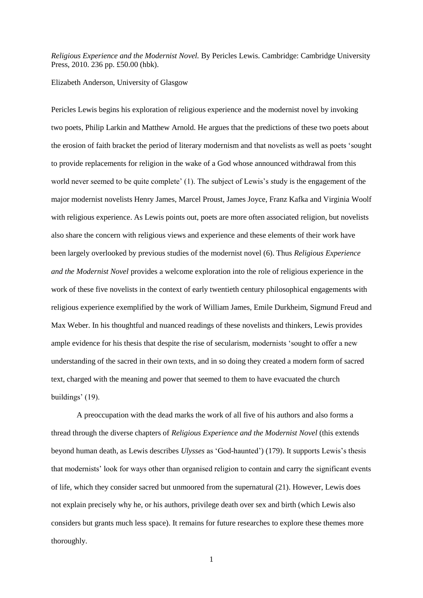*Religious Experience and the Modernist Novel.* By Pericles Lewis. Cambridge: Cambridge University Press, 2010. 236 pp. £50.00 (hbk).

## Elizabeth Anderson, University of Glasgow

Pericles Lewis begins his exploration of religious experience and the modernist novel by invoking two poets, Philip Larkin and Matthew Arnold. He argues that the predictions of these two poets about the erosion of faith bracket the period of literary modernism and that novelists as well as poets 'sought to provide replacements for religion in the wake of a God whose announced withdrawal from this world never seemed to be quite complete' (1). The subject of Lewis's study is the engagement of the major modernist novelists Henry James, Marcel Proust, James Joyce, Franz Kafka and Virginia Woolf with religious experience. As Lewis points out, poets are more often associated religion, but novelists also share the concern with religious views and experience and these elements of their work have been largely overlooked by previous studies of the modernist novel (6). Thus *Religious Experience and the Modernist Novel* provides a welcome exploration into the role of religious experience in the work of these five novelists in the context of early twentieth century philosophical engagements with religious experience exemplified by the work of William James, Emile Durkheim, Sigmund Freud and Max Weber. In his thoughtful and nuanced readings of these novelists and thinkers, Lewis provides ample evidence for his thesis that despite the rise of secularism, modernists 'sought to offer a new understanding of the sacred in their own texts, and in so doing they created a modern form of sacred text, charged with the meaning and power that seemed to them to have evacuated the church buildings' (19).

A preoccupation with the dead marks the work of all five of his authors and also forms a thread through the diverse chapters of *Religious Experience and the Modernist Novel* (this extends beyond human death, as Lewis describes *Ulysses* as 'God-haunted') (179). It supports Lewis's thesis that modernists' look for ways other than organised religion to contain and carry the significant events of life, which they consider sacred but unmoored from the supernatural (21). However, Lewis does not explain precisely why he, or his authors, privilege death over sex and birth (which Lewis also considers but grants much less space). It remains for future researches to explore these themes more thoroughly.

1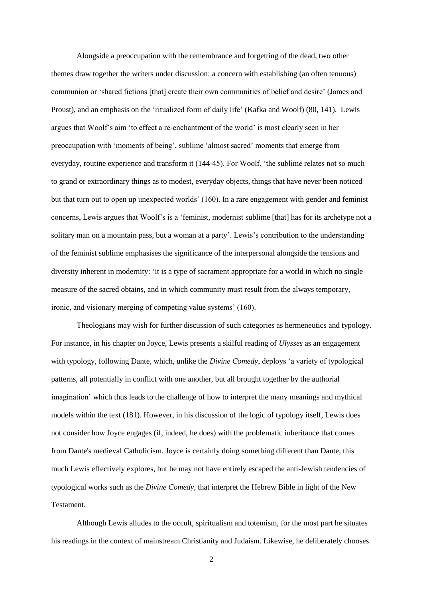Alongside a preoccupation with the remembrance and forgetting of the dead, two other themes draw together the writers under discussion: a concern with establishing (an often tenuous) communion or 'shared fictions [that] create their own communities of belief and desire' (James and Proust), and an emphasis on the 'ritualized form of daily life' (Kafka and Woolf) (80, 141). Lewis argues that Woolf's aim 'to effect a re-enchantment of the world' is most clearly seen in her preoccupation with 'moments of being', sublime 'almost sacred' moments that emerge from everyday, routine experience and transform it (144-45). For Woolf, 'the sublime relates not so much to grand or extraordinary things as to modest, everyday objects, things that have never been noticed but that turn out to open up unexpected worlds' (160). In a rare engagement with gender and feminist concerns, Lewis argues that Woolf's is a 'feminist, modernist sublime [that] has for its archetype not a solitary man on a mountain pass, but a woman at a party'. Lewis's contribution to the understanding of the feminist sublime emphasises the significance of the interpersonal alongside the tensions and diversity inherent in modernity: 'it is a type of sacrament appropriate for a world in which no single measure of the sacred obtains, and in which community must result from the always temporary, ironic, and visionary merging of competing value systems' (160).

Theologians may wish for further discussion of such categories as hermeneutics and typology. For instance, in his chapter on Joyce, Lewis presents a skilful reading of *Ulysses* as an engagement with typology, following Dante, which, unlike the *Divine Comedy*, deploys 'a variety of typological patterns, all potentially in conflict with one another, but all brought together by the authorial imagination' which thus leads to the challenge of how to interpret the many meanings and mythical models within the text (181). However, in his discussion of the logic of typology itself, Lewis does not consider how Joyce engages (if, indeed, he does) with the problematic inheritance that comes from Dante's medieval Catholicism. Joyce is certainly doing something different than Dante, this much Lewis effectively explores, but he may not have entirely escaped the anti-Jewish tendencies of typological works such as the *Divine Comedy*, that interpret the Hebrew Bible in light of the New **Testament** 

Although Lewis alludes to the occult, spiritualism and totemism, for the most part he situates his readings in the context of mainstream Christianity and Judaism. Likewise, he deliberately chooses

2